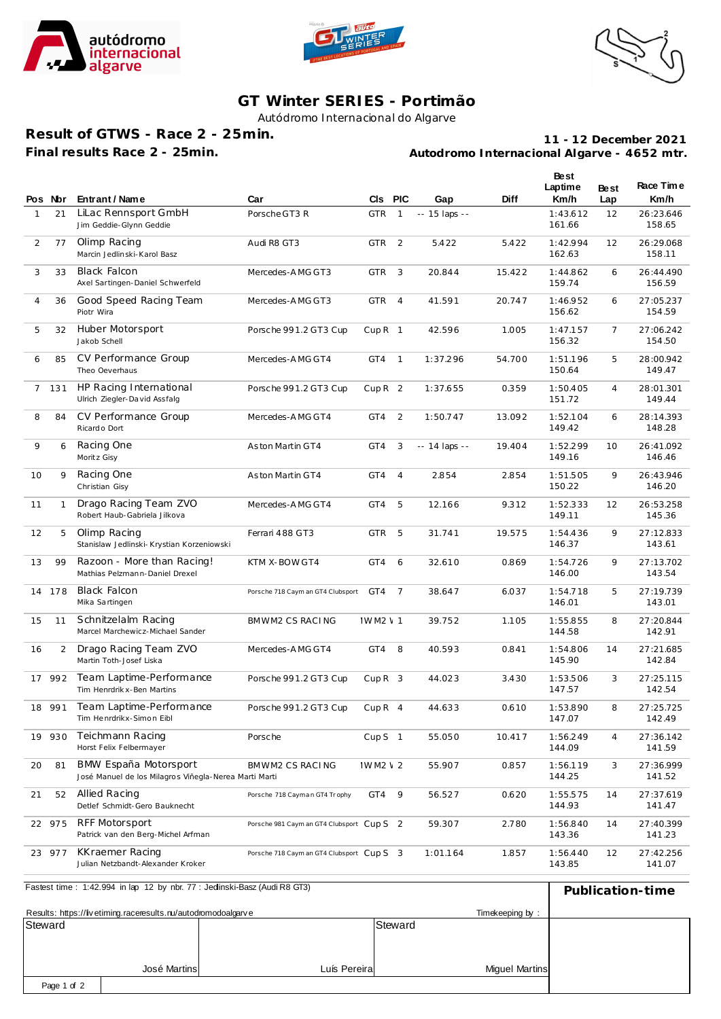





## **GT Winter SERIES - Portimão**

Autódromo Internacional do Algarve

**Result of GTWS - Race 2 - 25min. Final results Race 2 - 25min.**

**Autodromo Internacional Algarve - 4652 mtr. 11 - 12 December 2021**

|                | Pos Nor      | Entrant / Name                                                                 | Car                                       | <b>CIs</b>        | <b>PIC</b>     | Gap             | Diff   | Best<br>Laptime<br>Km/h | <b>Best</b><br>Lap | Race Time<br>Km/h   |
|----------------|--------------|--------------------------------------------------------------------------------|-------------------------------------------|-------------------|----------------|-----------------|--------|-------------------------|--------------------|---------------------|
| $\mathbf{1}$   | 21           | LiLac Rennsport GmbH<br>Jim Geddie-Glynn Geddie                                | Porsche GT3 R                             | <b>GTR</b>        | $\mathbf{1}$   | -- 15 laps --   |        | 1:43.612<br>161.66      | 12                 | 26:23.646<br>158.65 |
| 2              | 77           | Olimp Racing<br>Marcin Jedlinski-Karol Basz                                    | Audi R8 GT3                               | <b>GTR</b>        | 2              | 5.422           | 5.422  | 1:42.994<br>162.63      | 12                 | 26:29.068<br>158.11 |
| 3              | 33           | <b>Black Falcon</b><br>Axel Sartingen-Daniel Schwerfeld                        | Mercedes-AMG GT3                          | <b>GTR</b>        | 3              | 20.844          | 15.422 | 1:44.862<br>159.74      | 6                  | 26:44.490<br>156.59 |
| $\overline{4}$ | 36           | Good Speed Racing Team<br>Piotr Wira                                           | Mercedes-AMG GT3                          | <b>GTR</b>        | $\overline{4}$ | 41.591          | 20.747 | 1:46.952<br>156.62      | 6                  | 27:05.237<br>154.59 |
| 5              | 32           | <b>Huber Motorsport</b><br>Jakob Schell                                        | Porsche 991.2 GT3 Cup                     | CupR <sub>1</sub> |                | 42.596          | 1.005  | 1:47.157<br>156.32      | $\overline{7}$     | 27:06.242<br>154.50 |
| 6              | 85           | CV Performance Group<br>Theo Oeverhaus                                         | Mercedes-AMG GT4                          | GT4               | $\overline{1}$ | 1:37.296        | 54.700 | 1:51.196<br>150.64      | 5                  | 28:00.942<br>149.47 |
| 7              | 131          | HP Racing International<br>Ulrich Ziegler-David Assfalg                        | Porsche 991.2 GT3 Cup                     | CupR <sub>2</sub> |                | 1:37.655        | 0.359  | 1:50.405<br>151.72      | 4                  | 28:01.301<br>149.44 |
| 8              | 84           | CV Performance Group<br>Ricardo Dort                                           | Mercedes-AMG GT4                          | GT4               | 2              | 1:50.747        | 13.092 | 1:52.104<br>149.42      | 6                  | 28:14.393<br>148.28 |
| 9              | 6            | Racing One<br>Moritz Gisy                                                      | Aston Martin GT4                          | GT4               | 3              | $- 14$ laps $-$ | 19.404 | 1:52.299<br>149.16      | 10                 | 26:41.092<br>146.46 |
| 10             | 9            | Racing One<br>Christian Gisy                                                   | Aston Martin GT4                          | GT4               | $\overline{4}$ | 2.854           | 2.854  | 1:51.505<br>150.22      | 9                  | 26:43.946<br>146.20 |
| 11             | $\mathbf{1}$ | Drago Racing Team ZVO<br>Robert Haub-Gabriela Jilkova                          | Mercedes-AMG GT4                          | GT4               | 5              | 12.166          | 9.312  | 1:52.333<br>149.11      | 12                 | 26:53.258<br>145.36 |
| 12             | 5            | Olimp Racing<br>Stanislaw Jedlinski-Krystian Korzeniowski                      | Ferrari 488 GT3                           | <b>GTR</b>        | 5              | 31.741          | 19.575 | 1:54.436<br>146.37      | 9                  | 27:12.833<br>143.61 |
| 13             | 99           | Razoon - More than Racing!<br>Mathias Pelzmann-Daniel Drexel                   | KTM X-BOW GT4                             | GT4               | 6              | 32.610          | 0.869  | 1:54.726<br>146.00      | 9                  | 27:13.702<br>143.54 |
| 14             | 178          | <b>Black Falcon</b><br>Mika Sartingen                                          | Porsche 718 Caym an GT4 Clubsport         | GT4               | $\overline{7}$ | 38.647          | 6.037  | 1:54.718<br>146.01      | 5                  | 27:19.739<br>143.01 |
| 15             | 11           | Schnitzelalm Racing<br>Marcel Marchewicz-Michael Sander                        | BMWM2 CS RACING                           | <b>IWM2 \ 1</b>   |                | 39.752          | 1.105  | 1:55.855<br>144.58      | 8                  | 27:20.844<br>142.91 |
| 16             | 2            | Drago Racing Team ZVO<br>Martin Toth-Josef Liska                               | Mercedes-AMG GT4                          | GT4               | 8              | 40.593          | 0.841  | 1:54.806<br>145.90      | 14                 | 27:21.685<br>142.84 |
| 17             | 992          | Team Laptime-Performance<br>Tim Henrdrik x-Ben Martins                         | Porsche 991.2 GT3 Cup                     | CupR <sub>3</sub> |                | 44.023          | 3.430  | 1:53.506<br>147.57      | 3                  | 27:25.115<br>142.54 |
|                | 18 991       | Team Laptime-Performance<br>Tim Henrdrikx-Simon Eibl                           | Porsche 991.2 GT3 Cup                     | $CupR$ 4          |                | 44.633          | 0.610  | 1:53.890<br>147.07      | 8                  | 27:25.725<br>142.49 |
| 19             | 930          | Teichmann Racing<br>Horst Felix Felbermayer                                    | Porsche                                   | Cup $S$ 1         |                | 55.050          | 10.417 | 1:56.249<br>144.09      | 4                  | 27:36.142<br>141.59 |
| 20             | 81           | BMW España Motorsport<br>José Manuel de los Milagros Viñegla-Nerea Marti Marti | BMWM2 CS RACING                           | IWM2 \ 2          |                | 55.907          | 0.857  | 1:56.119<br>144.25      | 3                  | 27:36.999<br>141.52 |
| 21             | 52           | Allied Racing<br>Detlef Schmidt-Gero Bauknecht                                 | Porsche 718 Cayman GT4 Trophy             | GT4               | 9              | 56.527          | 0.620  | 1:55.575<br>144.93      | 14                 | 27:37.619<br>141.47 |
| 22             | 975          | RFF Motorsport<br>Patrick van den Berg-Michel Arfman                           | Porsche 981 Caym an GT4 Clubsport Cup S 2 |                   |                | 59.307          | 2.780  | 1:56.840<br>143.36      | 14                 | 27:40.399<br>141.23 |
| 23             | 977          | KKraemer Racing<br>Julian Netzbandt-Alexander Kroker                           | Porsche 718 Caym an GT4 Clubsport Cup S 3 |                   |                | 1:01.164        | 1.857  | 1:56.440<br>143.85      | 12                 | 27:42.256<br>141.07 |
|                |              | Fastest time: 1:42.994 in lap 12 by nbr. 77 : Jedinski-Basz (Audi R8 GT3)      |                                           |                   |                |                 |        |                         |                    | Publication-time    |

| $\frac{1}{2}$ as to the $\frac{1}{2}$ . $\frac{1}{2}$ . The $\frac{1}{2}$ is the $\frac{1}{2}$ in $\frac{1}{2}$ . The second second second second second second second second second second second second second second second second second second sec |                 |              |                       |  | Publication-time |
|---------------------------------------------------------------------------------------------------------------------------------------------------------------------------------------------------------------------------------------------------------|-----------------|--------------|-----------------------|--|------------------|
| Results: https://livetiming.raceresults.nu/autodromodoalgarve                                                                                                                                                                                           | Timekeeping by: |              |                       |  |                  |
| Steward                                                                                                                                                                                                                                                 |                 |              | Steward               |  |                  |
|                                                                                                                                                                                                                                                         |                 |              |                       |  |                  |
|                                                                                                                                                                                                                                                         |                 |              |                       |  |                  |
|                                                                                                                                                                                                                                                         | José Martins    | Luís Pereira | <b>Miquel Martins</b> |  |                  |
| Page 1 of 2                                                                                                                                                                                                                                             |                 |              |                       |  |                  |